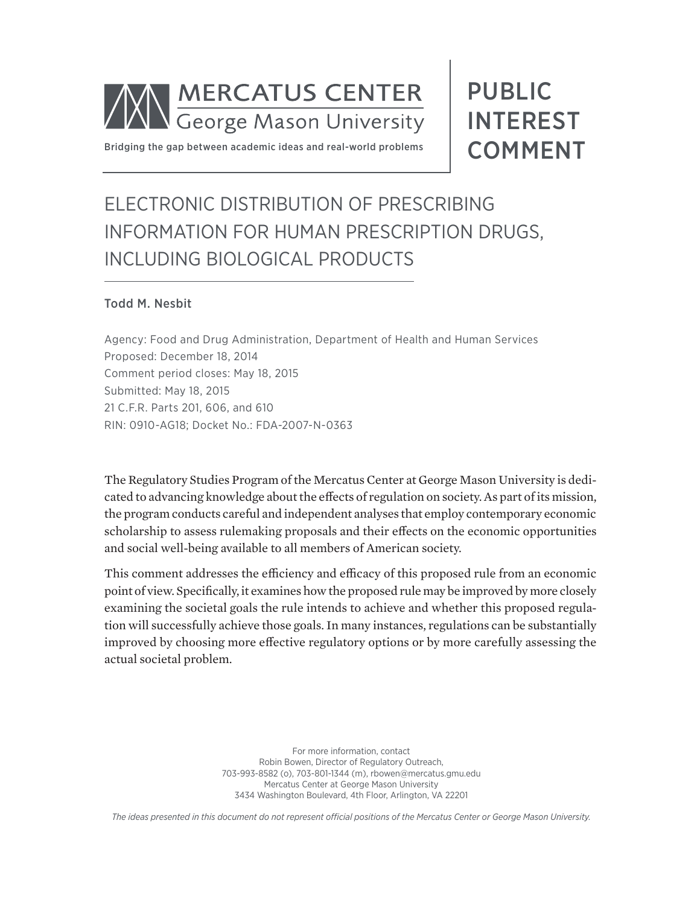

Bridging the gap between academic ideas and real-world problems

# PUBLIC INTEREST COMMENT

# ELECTRONIC DISTRIBUTION OF PRESCRIBING INFORMATION FOR HUMAN PRESCRIPTION DRUGS, INCLUDING BIOLOGICAL PRODUCTS

#### Todd M. Nesbit

Agency: Food and Drug Administration, Department of Health and Human Services Proposed: December 18, 2014 Comment period closes: May 18, 2015 Submitted: May 18, 2015 21 C.F.R. Parts 201, 606, and 610 RIN: 0910-AG18; Docket No.: FDA-2007-N-0363

The Regulatory Studies Program of the Mercatus Center at George Mason University is dedicated to advancing knowledge about the effects of regulation on society. As part of its mission, the program conducts careful and independent analyses that employ contemporary economic scholarship to assess rulemaking proposals and their effects on the economic opportunities and social well-being available to all members of American society.

This comment addresses the efficiency and efficacy of this proposed rule from an economic point of view. Specifically, it examines how the proposed rule may be improved by more closely examining the societal goals the rule intends to achieve and whether this proposed regulation will successfully achieve those goals. In many instances, regulations can be substantially improved by choosing more effective regulatory options or by more carefully assessing the actual societal problem.

> For more information, contact Robin Bowen, Director of Regulatory Outreach, 703-993-8582 (o), 703-801-1344 (m), [rbowen@mercatus.gmu.edu](mailto:rbowen@mercatus.gmu.edu) Mercatus Center at George Mason University 3434 Washington Boulevard, 4th Floor, Arlington, VA 22201

*The ideas presented in this document do not represent official positions of the Mercatus Center or George Mason University.*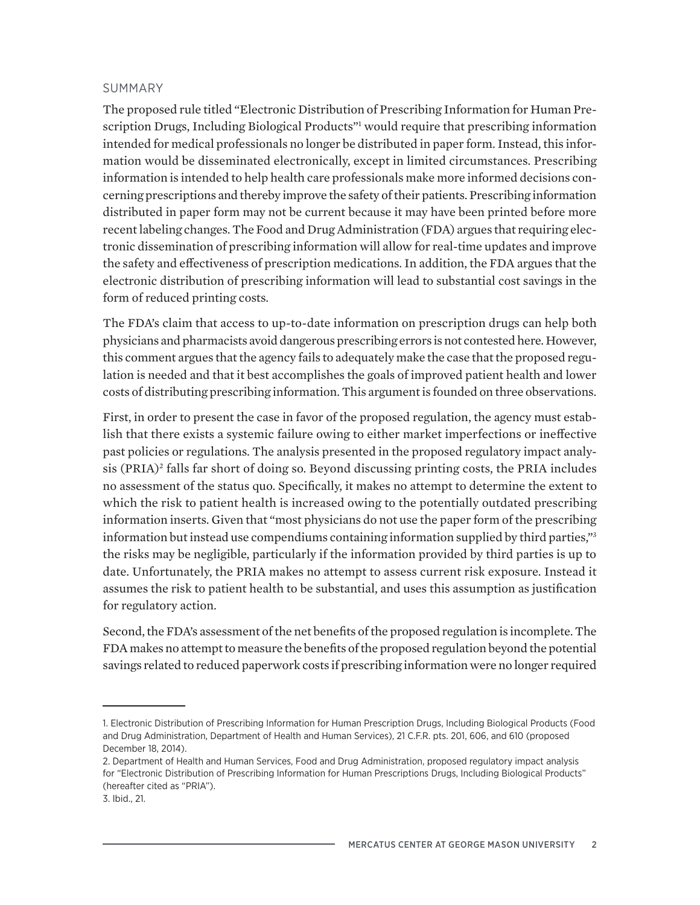#### SUMMARY

The proposed rule titled "Electronic Distribution of Prescribing Information for Human Prescription Drugs, Including Biological Products"<sup>1</sup> would require that prescribing information intended for medical professionals no longer be distributed in paper form. Instead, this information would be disseminated electronically, except in limited circumstances. Prescribing information is intended to help health care professionals make more informed decisions concerning prescriptions and thereby improve the safety of their patients. Prescribing information distributed in paper form may not be current because it may have been printed before more recent labeling changes. The Food and Drug Administration (FDA) argues that requiring electronic dissemination of prescribing information will allow for real-time updates and improve the safety and effectiveness of prescription medications. In addition, the FDA argues that the electronic distribution of prescribing information will lead to substantial cost savings in the form of reduced printing costs.

The FDA's claim that access to up-to-date information on prescription drugs can help both physicians and pharmacists avoid dangerous prescribing errors is not contested here. However, this comment argues that the agency fails to adequately make the case that the proposed regulation is needed and that it best accomplishes the goals of improved patient health and lower costs of distributing prescribing information. This argument is founded on three observations.

First, in order to present the case in favor of the proposed regulation, the agency must establish that there exists a systemic failure owing to either market imperfections or ineffective past policies or regulations. The analysis presented in the proposed regulatory impact analysis (PRIA)<sup>2</sup> falls far short of doing so. Beyond discussing printing costs, the PRIA includes no assessment of the status quo. Specifically, it makes no attempt to determine the extent to which the risk to patient health is increased owing to the potentially outdated prescribing information inserts. Given that "most physicians do not use the paper form of the prescribing information but instead use compendiums containing information supplied by third parties,"3 the risks may be negligible, particularly if the information provided by third parties is up to date. Unfortunately, the PRIA makes no attempt to assess current risk exposure. Instead it assumes the risk to patient health to be substantial, and uses this assumption as justification for regulatory action.

Second, the FDA's assessment of the net benefits of the proposed regulation is incomplete. The FDA makes no attempt to measure the benefits of the proposed regulation beyond the potential savings related to reduced paperwork costs if prescribing information were no longer required

<sup>1.</sup> Electronic Distribution of Prescribing Information for Human Prescription Drugs, Including Biological Products (Food and Drug Administration, Department of Health and Human Services), 21 C.F.R. pts. 201, 606, and 610 (proposed December 18, 2014).

<sup>2.</sup> Department of Health and Human Services, Food and Drug Administration, proposed regulatory impact analysis for "Electronic Distribution of Prescribing Information for Human Prescriptions Drugs, Including Biological Products" (hereafter cited as "PRIA").

<sup>3.</sup> Ibid., 21.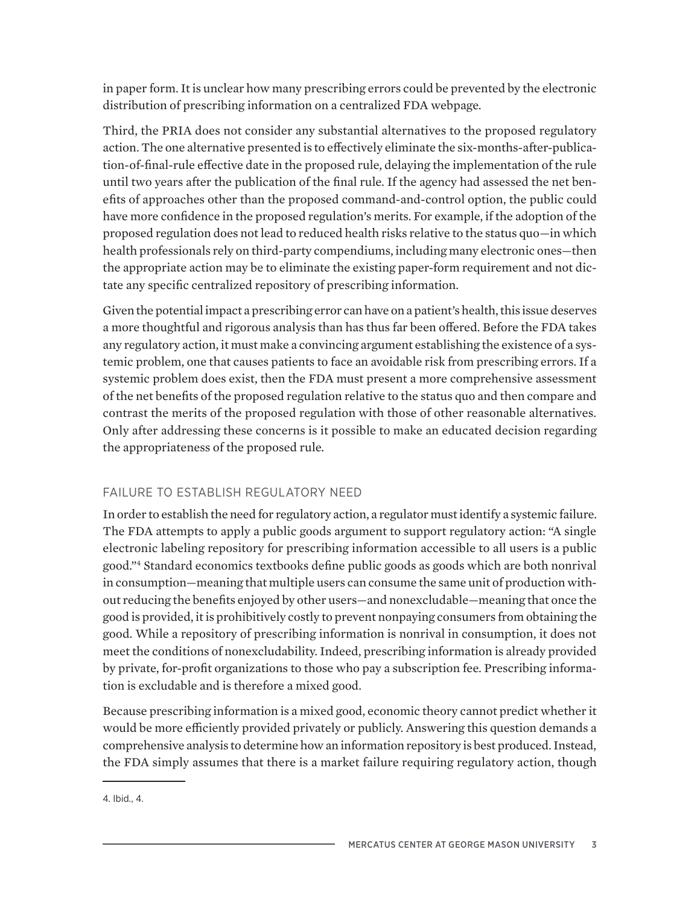in paper form. It is unclear how many prescribing errors could be prevented by the electronic distribution of prescribing information on a centralized FDA webpage.

Third, the PRIA does not consider any substantial alternatives to the proposed regulatory action. The one alternative presented is to effectively eliminate the six-months-after-publication-of-final-rule effective date in the proposed rule, delaying the implementation of the rule until two years after the publication of the final rule. If the agency had assessed the net benefits of approaches other than the proposed command-and-control option, the public could have more confidence in the proposed regulation's merits. For example, if the adoption of the proposed regulation does not lead to reduced health risks relative to the status quo—in which health professionals rely on third-party compendiums, including many electronic ones—then the appropriate action may be to eliminate the existing paper-form requirement and not dictate any specific centralized repository of prescribing information.

Given the potential impact a prescribing error can have on a patient's health, this issue deserves a more thoughtful and rigorous analysis than has thus far been offered. Before the FDA takes any regulatory action, it must make a convincing argument establishing the existence of a systemic problem, one that causes patients to face an avoidable risk from prescribing errors. If a systemic problem does exist, then the FDA must present a more comprehensive assessment of the net benefits of the proposed regulation relative to the status quo and then compare and contrast the merits of the proposed regulation with those of other reasonable alternatives. Only after addressing these concerns is it possible to make an educated decision regarding the appropriateness of the proposed rule.

## FAILURE TO ESTABLISH REGULATORY NEED

In order to establish the need for regulatory action, a regulator must identify a systemic failure. The FDA attempts to apply a public goods argument to support regulatory action: "A single electronic labeling repository for prescribing information accessible to all users is a public good."4 Standard economics textbooks define public goods as goods which are both nonrival in consumption—meaning that multiple users can consume the same unit of production without reducing the benefits enjoyed by other users—and nonexcludable—meaning that once the good is provided, it is prohibitively costly to prevent nonpaying consumers from obtaining the good. While a repository of prescribing information is nonrival in consumption, it does not meet the conditions of nonexcludability. Indeed, prescribing information is already provided by private, for-profit organizations to those who pay a subscription fee. Prescribing information is excludable and is therefore a mixed good.

Because prescribing information is a mixed good, economic theory cannot predict whether it would be more efficiently provided privately or publicly. Answering this question demands a comprehensive analysis to determine how an information repository is best produced. Instead, the FDA simply assumes that there is a market failure requiring regulatory action, though

<sup>4.</sup> Ibid., 4.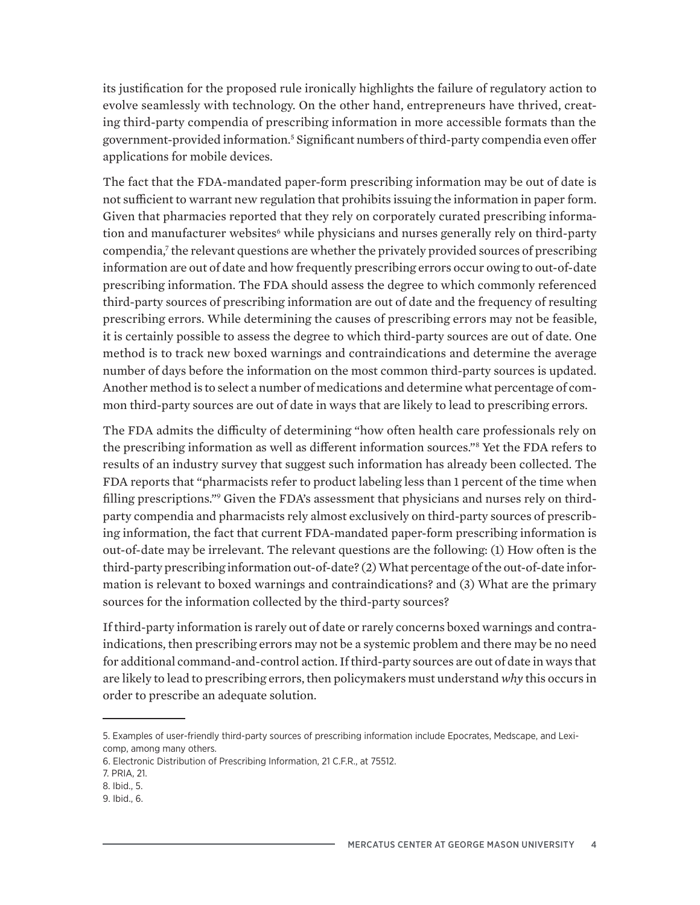its justification for the proposed rule ironically highlights the failure of regulatory action to evolve seamlessly with technology. On the other hand, entrepreneurs have thrived, creating third-party compendia of prescribing information in more accessible formats than the government-provided information.5 Significant numbers of third-party compendia even offer applications for mobile devices.

The fact that the FDA-mandated paper-form prescribing information may be out of date is not sufficient to warrant new regulation that prohibits issuing the information in paper form. Given that pharmacies reported that they rely on corporately curated prescribing information and manufacturer websites<sup>6</sup> while physicians and nurses generally rely on third-party compendia,<sup>7</sup> the relevant questions are whether the privately provided sources of prescribing information are out of date and how frequently prescribing errors occur owing to out-of-date prescribing information. The FDA should assess the degree to which commonly referenced third-party sources of prescribing information are out of date and the frequency of resulting prescribing errors. While determining the causes of prescribing errors may not be feasible, it is certainly possible to assess the degree to which third-party sources are out of date. One method is to track new boxed warnings and contraindications and determine the average number of days before the information on the most common third-party sources is updated. Another method is to select a number of medications and determine what percentage of common third-party sources are out of date in ways that are likely to lead to prescribing errors.

The FDA admits the difficulty of determining "how often health care professionals rely on the prescribing information as well as different information sources."8 Yet the FDA refers to results of an industry survey that suggest such information has already been collected. The FDA reports that "pharmacists refer to product labeling less than 1 percent of the time when filling prescriptions." Given the FDA's assessment that physicians and nurses rely on thirdparty compendia and pharmacists rely almost exclusively on third-party sources of prescribing information, the fact that current FDA-mandated paper-form prescribing information is out-of-date may be irrelevant. The relevant questions are the following: (1) How often is the third-party prescribing information out-of-date? (2) What percentage of the out-of-date information is relevant to boxed warnings and contraindications? and (3) What are the primary sources for the information collected by the third-party sources?

If third-party information is rarely out of date or rarely concerns boxed warnings and contraindications, then prescribing errors may not be a systemic problem and there may be no need for additional command-and-control action. If third-party sources are out of date in ways that are likely to lead to prescribing errors, then policymakers must understand *why* this occurs in order to prescribe an adequate solution.

<sup>5.</sup> Examples of user-friendly third-party sources of prescribing information include Epocrates, Medscape, and Lexicomp, among many others.

<sup>6.</sup> Electronic Distribution of Prescribing Information, 21 C.F.R., at 75512.

<sup>7.</sup> PRIA, 21.

<sup>8.</sup> Ibid., 5.

<sup>9.</sup> Ibid., 6.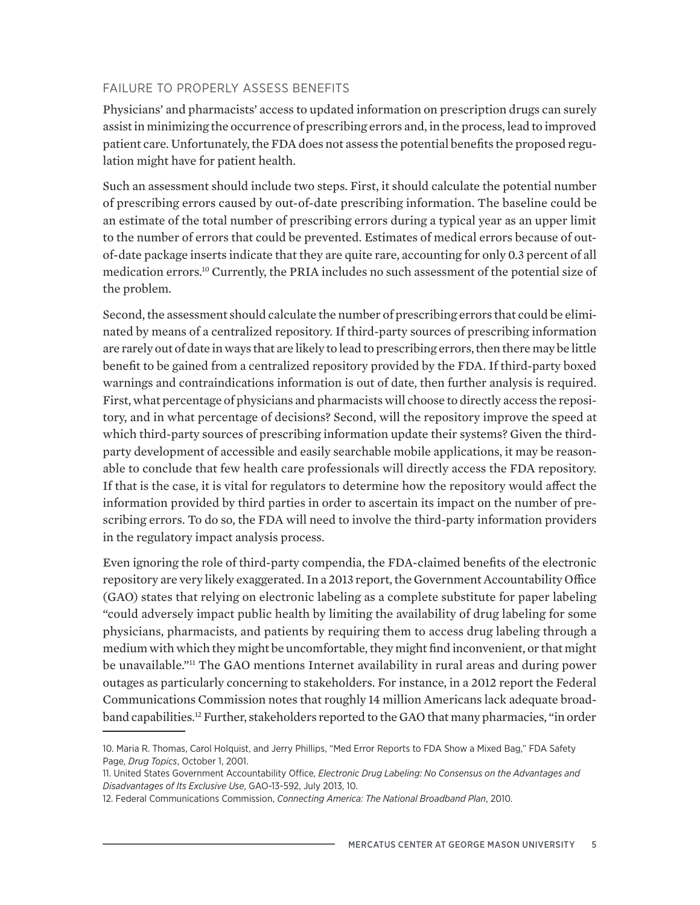### FAILURE TO PROPERLY ASSESS BENEFITS

Physicians' and pharmacists' access to updated information on prescription drugs can surely assist in minimizing the occurrence of prescribing errors and, in the process, lead to improved patient care. Unfortunately, the FDA does not assess the potential benefits the proposed regulation might have for patient health.

Such an assessment should include two steps. First, it should calculate the potential number of prescribing errors caused by out-of-date prescribing information. The baseline could be an estimate of the total number of prescribing errors during a typical year as an upper limit to the number of errors that could be prevented. Estimates of medical errors because of outof-date package inserts indicate that they are quite rare, accounting for only 0.3 percent of all medication errors.10 Currently, the PRIA includes no such assessment of the potential size of the problem.

Second, the assessment should calculate the number of prescribing errors that could be eliminated by means of a centralized repository. If third-party sources of prescribing information are rarely out of date in ways that are likely to lead to prescribing errors, then there may be little benefit to be gained from a centralized repository provided by the FDA. If third-party boxed warnings and contraindications information is out of date, then further analysis is required. First, what percentage of physicians and pharmacists will choose to directly access the repository, and in what percentage of decisions? Second, will the repository improve the speed at which third-party sources of prescribing information update their systems? Given the thirdparty development of accessible and easily searchable mobile applications, it may be reasonable to conclude that few health care professionals will directly access the FDA repository. If that is the case, it is vital for regulators to determine how the repository would affect the information provided by third parties in order to ascertain its impact on the number of prescribing errors. To do so, the FDA will need to involve the third-party information providers in the regulatory impact analysis process.

Even ignoring the role of third-party compendia, the FDA-claimed benefits of the electronic repository are very likely exaggerated. In a 2013 report, the Government Accountability Office (GAO) states that relying on electronic labeling as a complete substitute for paper labeling "could adversely impact public health by limiting the availability of drug labeling for some physicians, pharmacists, and patients by requiring them to access drug labeling through a medium with which they might be uncomfortable, they might find inconvenient, or that might be unavailable."<sup>11</sup> The GAO mentions Internet availability in rural areas and during power outages as particularly concerning to stakeholders. For instance, in a 2012 report the Federal Communications Commission notes that roughly 14 million Americans lack adequate broadband capabilities.<sup>12</sup> Further, stakeholders reported to the GAO that many pharmacies, "in order

<sup>10.</sup> Maria R. Thomas, Carol Holquist, and Jerry Phillips, "Med Error Reports to FDA Show a Mixed Bag," FDA Safety Page, *Drug Topics*, October 1, 2001.

<sup>11.</sup> United States Government Accountability Office, *Electronic Drug Labeling: No Consensus on the Advantages and Disadvantages of Its Exclusive Use*, GAO-13-592, July 2013, 10.

<sup>12.</sup> Federal Communications Commission, *Connecting America: The National Broadband Plan*, 2010.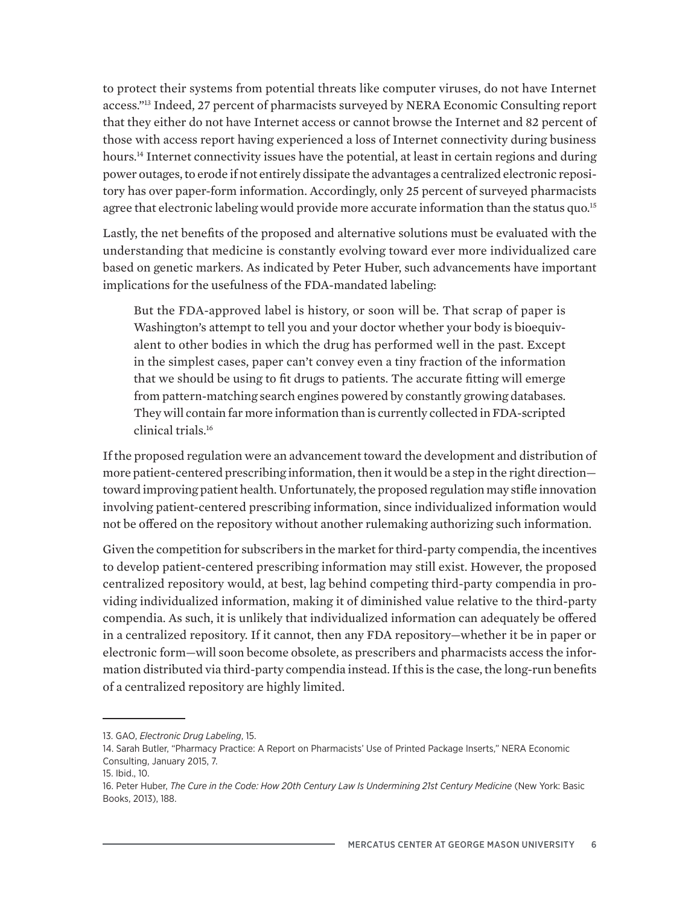to protect their systems from potential threats like computer viruses, do not have Internet access."13 Indeed, 27 percent of pharmacists surveyed by NERA Economic Consulting report that they either do not have Internet access or cannot browse the Internet and 82 percent of those with access report having experienced a loss of Internet connectivity during business hours.<sup>14</sup> Internet connectivity issues have the potential, at least in certain regions and during power outages, to erode if not entirely dissipate the advantages a centralized electronic repository has over paper-form information. Accordingly, only 25 percent of surveyed pharmacists agree that electronic labeling would provide more accurate information than the status quo.<sup>15</sup>

Lastly, the net benefits of the proposed and alternative solutions must be evaluated with the understanding that medicine is constantly evolving toward ever more individualized care based on genetic markers. As indicated by Peter Huber, such advancements have important implications for the usefulness of the FDA-mandated labeling:

But the FDA-approved label is history, or soon will be. That scrap of paper is Washington's attempt to tell you and your doctor whether your body is bioequivalent to other bodies in which the drug has performed well in the past. Except in the simplest cases, paper can't convey even a tiny fraction of the information that we should be using to fit drugs to patients. The accurate fitting will emerge from pattern-matching search engines powered by constantly growing databases. They will contain far more information than is currently collected in FDA-scripted clinical trials.16

If the proposed regulation were an advancement toward the development and distribution of more patient-centered prescribing information, then it would be a step in the right direction toward improving patient health. Unfortunately, the proposed regulation may stifle innovation involving patient-centered prescribing information, since individualized information would not be offered on the repository without another rulemaking authorizing such information.

Given the competition for subscribers in the market for third-party compendia, the incentives to develop patient-centered prescribing information may still exist. However, the proposed centralized repository would, at best, lag behind competing third-party compendia in providing individualized information, making it of diminished value relative to the third-party compendia. As such, it is unlikely that individualized information can adequately be offered in a centralized repository. If it cannot, then any FDA repository—whether it be in paper or electronic form—will soon become obsolete, as prescribers and pharmacists access the information distributed via third-party compendia instead. If this is the case, the long-run benefits of a centralized repository are highly limited.

<sup>13.</sup> GAO, *Electronic Drug Labeling*, 15.

<sup>14.</sup> Sarah Butler, "Pharmacy Practice: A Report on Pharmacists' Use of Printed Package Inserts," NERA Economic Consulting, January 2015, 7.

<sup>15.</sup> Ibid., 10.

<sup>16.</sup> Peter Huber, *The Cure in the Code: How 20th Century Law Is Undermining 21st Century Medicine* (New York: Basic Books, 2013), 188.